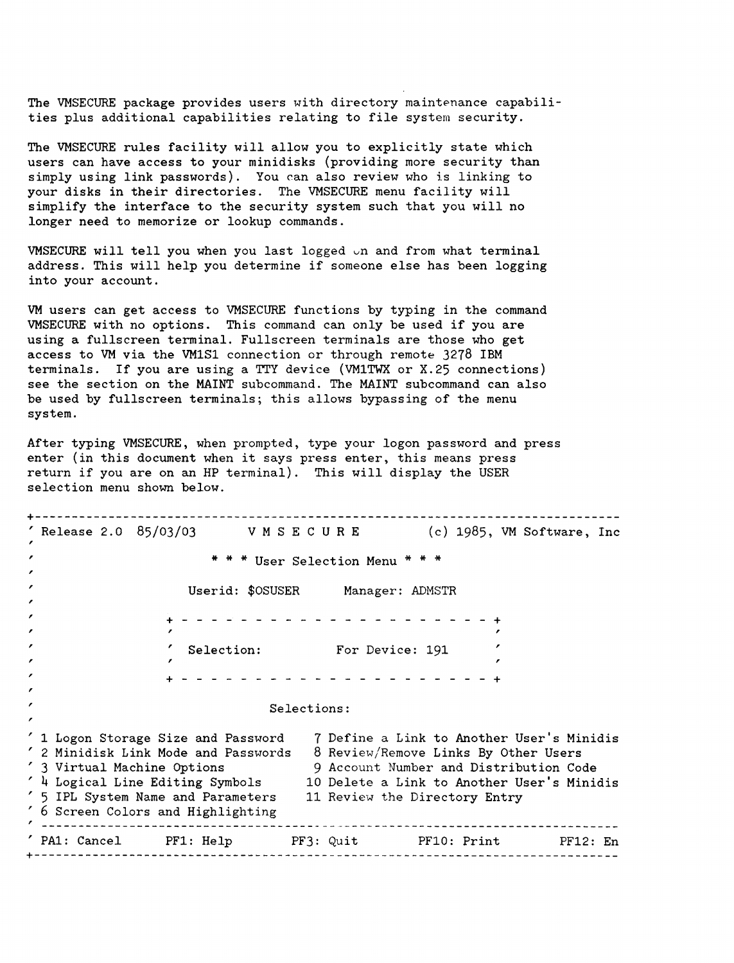The VMSECURE package provides users with directory maintenance capabilities plus additional capabilities relating to file system security.

The VMSECURE rules facility will allow you to explicitly state which users can have access to your minidisks (providing more security than simply using link passwords). You can also review who is linking to your disks in their directories. The VMSECURE menu facility will simplify the interface to the security system such that you will no longer need to memorize or lookup commands.

VMSECURE will tell you when you last logged  $\cup$ n and from what terminal address. This will help you determine if someone else has been logging into your account.

VM users can get access to VMSECURE functions by typing in the command VMSECURE with no options. This command can only be used if you are using a fullscreen terminal. Fullscreen terminals are those who get access to VM via the VM1Sl connection or through remote 3278 IBM terminals. If you are using <sup>a</sup> TTY device (VM1TWX or X.25 connections) see the section on the MAINT subcommand. The MAINT subcommand can also be used by fullscreen terminals; this allows bypassing of the menu system.

After typing VMSECURE, when prompted, type your logon password and press enter (in this document when it says press enter, this means press return if you are on an HP terminal). This will display the USER selection menu shown below.

+-------------------------------------------------------------------------------  $(c)$  1985, VM Software, Inc , , \* \* \* User Selection Menu \* \* \* , , Userid: \$OSUSER Manager: ADMSTR , + - - - - - - - - - - - - - - - - - - - - - <sup>+</sup> , , Selection: For Device: <sup>191</sup> , , , + - - - - - - - - - - - - - - - - - - - + , , Selections: , 1 Logon Storage Size and Password 7 Define a Link to Another User's Minidis , 2 Minidisk Link Mode and Passwords 8 Review/Remove Links By Other Users , 3 Virtual Machine Options , 4 Logical Line Editing Symbols , 5 1PL System Name and Parameters , 6 Screen Colors and Highlighting 9 Account Number and Distribution Code 10 Delete a Link to Another User's Minidis 11 Review the Directory Entry PA1: Cancel PF1: Help PF3: Quit PF10: Print PF12: En +-------------------------------------------------------------------------------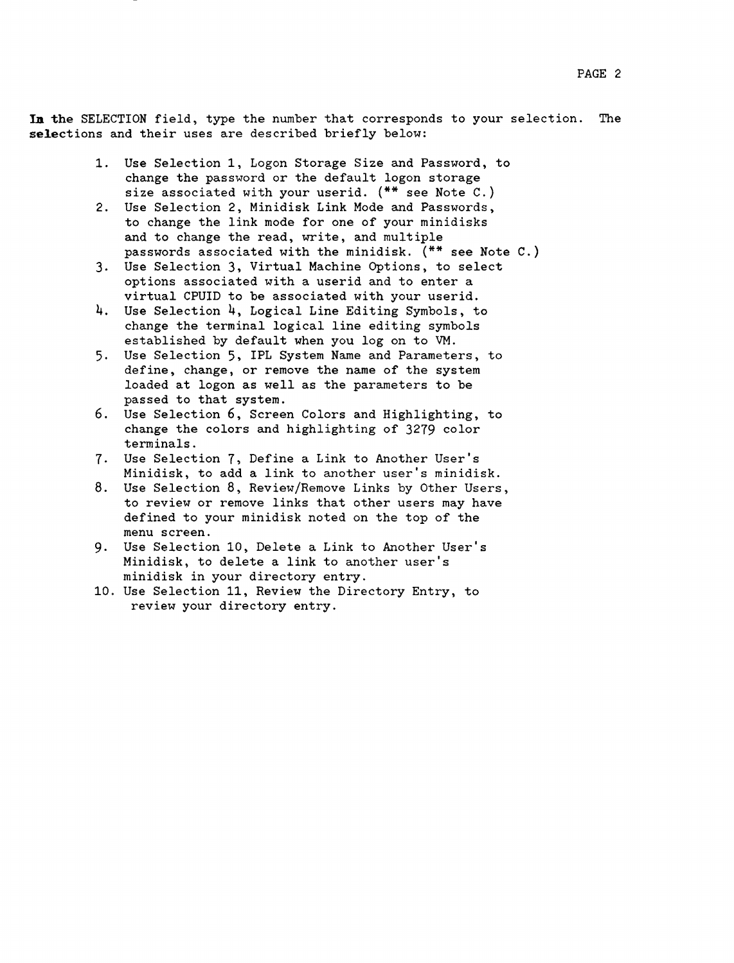In the SELECTION field, type the number that corresponds to your selection. The selections and their uses are described briefly below:

- 1. Use Selection 1, Logon Storage Size and Password, to change the password or the default logon storage size associated with your userid. (\*\* see Note C.)
- 2. Use Selection 2, Minidisk Link Mode and Passwords, to change the link mode for one of your minidisks and to change the read, write, and multiple passwords associated with the minidisk. (\*\* see Note C.)
- 3. Use Selection 3, Virtual Machine Options, to select options associated with a userid and to enter a virtual CPUID to be associated with your userid.
- 4. Use Selection 4, Logical Line Editing Symbols, to change the terminal logical line editing symbols established by default when you log on to VM.
- 5. Use Selection 5, IPL System Name and Parameters, to define, change, or remove the name of the system loaded at logon as well as the parameters to be passed to that system.
- 6. Use Selection 6, Screen Colors and Highlighting, to change the colors and highlighting of 3279 color terminals.
- 7. Use Selection 7, Define a Link to Another User's Minidisk, to add a link to another user's minidisk.
- 8. Use Selection 8, Review/Remove Links by Other Users, to review or remove links that other users may have defined to your minidisk noted on the top of the menu screen.
- 9. Use Selection 10, Delete a Link to Another User's Minidisk, to delete a link to another user's minidisk in your directory entry.
- 10. Use Selection 11, Review the Directory Entry, to review your directory entry.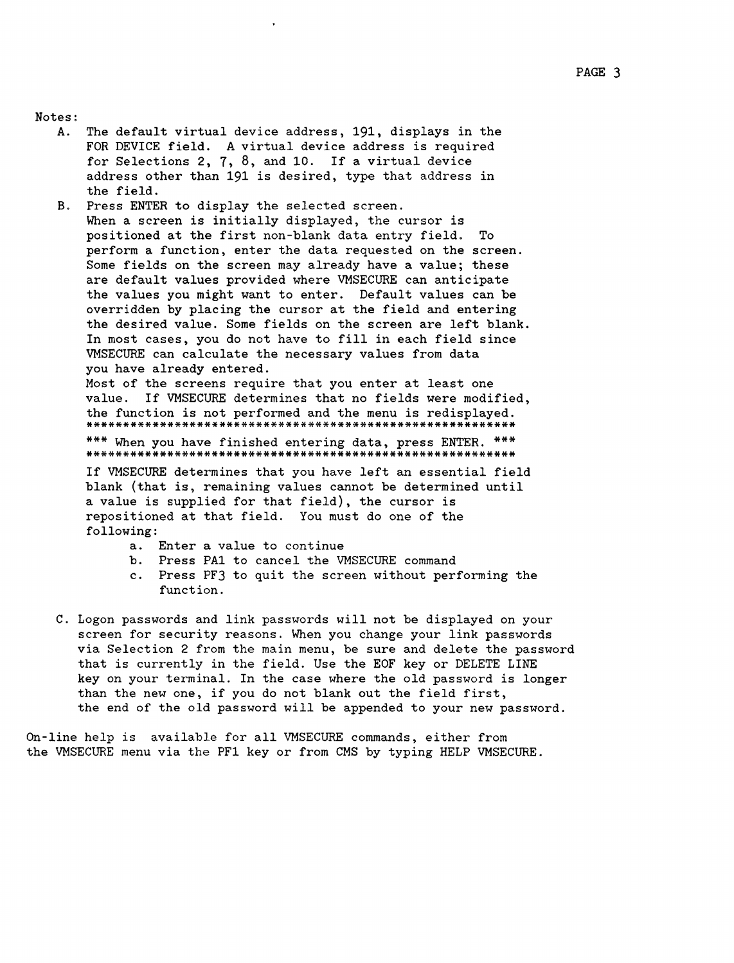#### Notes:

- A. The default virtual device address, 191, displays in the FOR DEVICE field. A virtual device address is required for Selections 2, 7, 8, and 10. If <sup>a</sup> virtual device address other than 191 is desired, type that address in the field.
- Press ENTER to display the selected screen. **B.** When a screen is initially displayed, the cursor is positioned at the first non-blank data entry field. To perform a function, enter the data requested on the screen. Some fields on the screen may already have a value; these are default values provided where VMSECURE can anticipate the values you might want to enter. Default values can be overridden by placing the cursor at the field and entering the desired value. Some fields on the screen are left blank. In most cases, you do not have to fill in each field since VMSECURE can calculate the necessary values from data you have already entered.

Most of the screens require that you enter at least one value. If VMSECURE determines that no fields were modified, the function is not performed and the menu is redisplayed. \*\*\*\*\*\*\*\*\*\*\*\*\*\*\*\*\*\*\*\*\*\*\*\*\*\*\*\*\*\*\*\*\*\*\*\*\*\*\*\*\*\*\*\*\*\*\*\*\*\*\*\*\*\*\*\*\*\*

\*\*\* When you have finished entering data, press ENTER. \*\*\* \*\*\*\*\*\*\*\*\*\*\*\*\*\*\*\*\*\*\*\*\*\*\*\*\*\*\*\*\*\*\*\*\*\*\*\*\*\*\*\*\*\*\*\*\*\*\*\*\*\*\*\*\*\*\*\*\*\*

If VMSECURE determines that you have left an essential field blank (that is, remaining values cannot be determined until a value is supplied for that field), the cursor is repositioned at that field. You must do one of the following:

- a. Enter a value to continue
- b. Press PAl to cancel the VMSECURE command
- c. Press PF3 to quit the screen without performing the function.
- C. Logon passwords and link passwords will not be displayed on your screen for security reasons. When you change your link passwords via Selection 2 from the main menu, be sure and delete the password that is currently in the field. Use the EOF key or DELETE LINE key on your terminal. In the case where the old password is longer than the new one, if you do not blank out the field first, the end of the old password will be appended to your new password.

On-line help is available for all VMSECURE commands, either from the VMSECURE menu via the PF1 key or from CMS by typing HELP VMSECURE.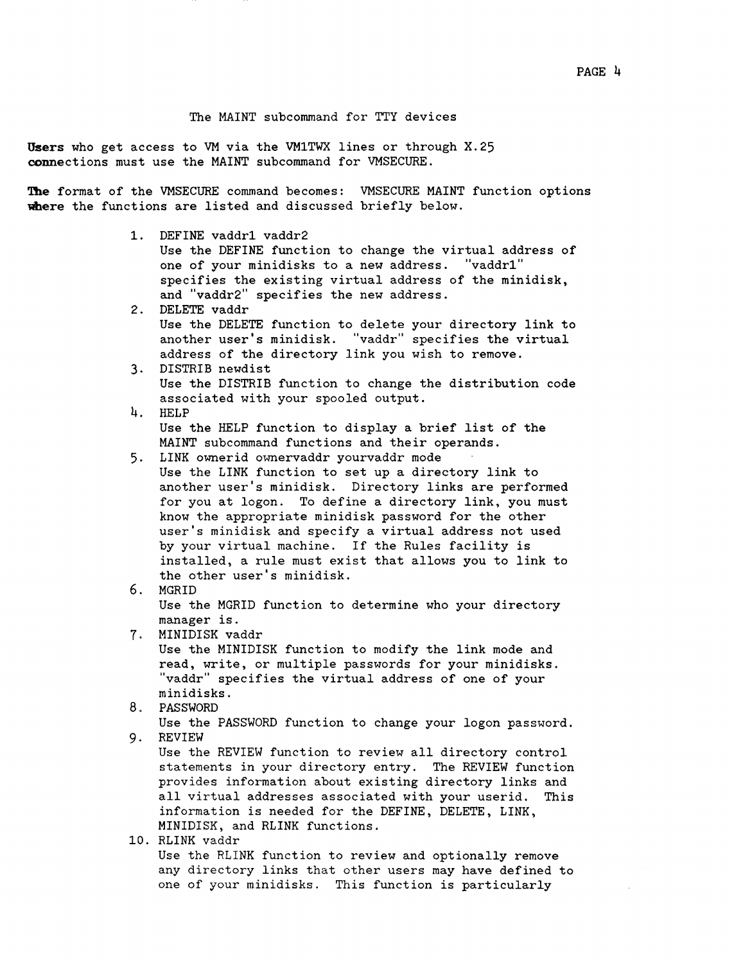USers who get access to VM via the VM1TWX lines or through X.25 connections must use the MAINT subcommand for VMSECURE.

The format of the VMSECURE command becomes: VMSECURE MAINT function options where the functions are listed and discussed briefly below.

1. DEFINE vaddrl vaddr2

Use the DEFINE function to change the virtual address of one of your minidisks to a new address. "vaddrl" specifies the existing virtual address of the minidisk, and "vaddr2" specifies the new address.

- 2. DELETE vaddr Use the DELETE function to delete your directory link to another user's minidisk. "vaddr" specifies the virtual address of the directory link you wish to remove.
- 3. DISTRIB newdist Use the DISTRIB function to change the distribution code associated with your spooled output.
- 4. HELP Use the HELP function to display <sup>a</sup> brief list of the MAINT subcommand functions and their operands.
- 5. LINK ownerid ownervaddr yourvaddr mode Use the LINK function to set up a directory link to
	- another user's minidisk. Directory links are performed for you at logon. To define a directory link, you must know the appropriate minidisk password for the other user's minidisk and specify a virtual address not used by your virtual machine. If the Rules facility is installed, a rule must exist that allows you to link to the other user's minidisk.
- 6. MGRID Use the MGRID function to determine who your directory manager is.
- 7. MINIDISK vaddr

Use the MINIDISK function to modify the link mode and read, write, or multiple passwords for your minidisks. "vaddr" specifies the virtual address of one of your minidisks.

- 8. PASSWORD
- Use the PASSWORD function to change your logon password. 9. REVIEW

Use the REVIEW function to review all directory control statements in your directory entry. The REVIEW function provides information about existing directory links and all virtual addresses associated with your userid. This information is needed for the DEFINE, DELETE, LINK, MINIDISK, and RLINK functions.

10. RLINK vaddr Use the RLINK function to review and optionally remove any directory links that other users may have defined to one of your minidisks. This function is particularly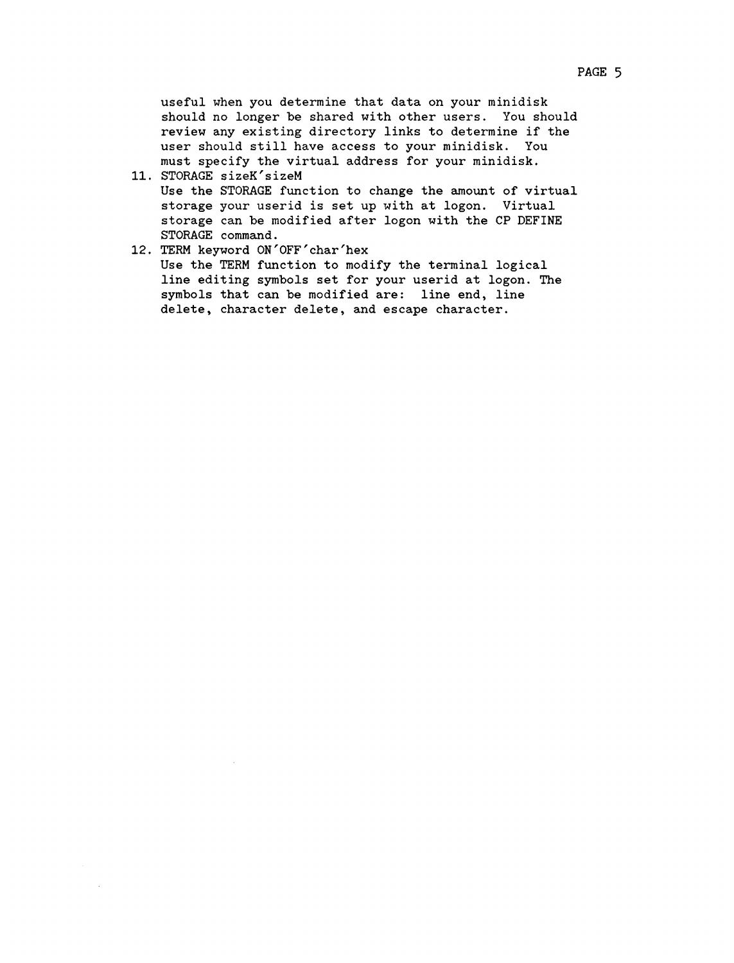PAGE 5

useful when you determine that data on your minidisk should no longer be shared with other users. You should review any existing directory links to determine if the user should still have access to your minidisk. You must specify the virtual address for your minidisk.

- 11. STORAGE sizeK'sizeM Use the STORAGE function to change the amount of virtual storage your userid is set up with at logon. Virtual storage can be modified after logon with the CP DEFINE STORAGE command.
- 12. TERM keyword ON'OFF'char'hex Use the TERM function to modify the terminal logical line editing symbols set for your userid at logon. The symbols that can be modified are: line end, line delete, character delete, and escape character.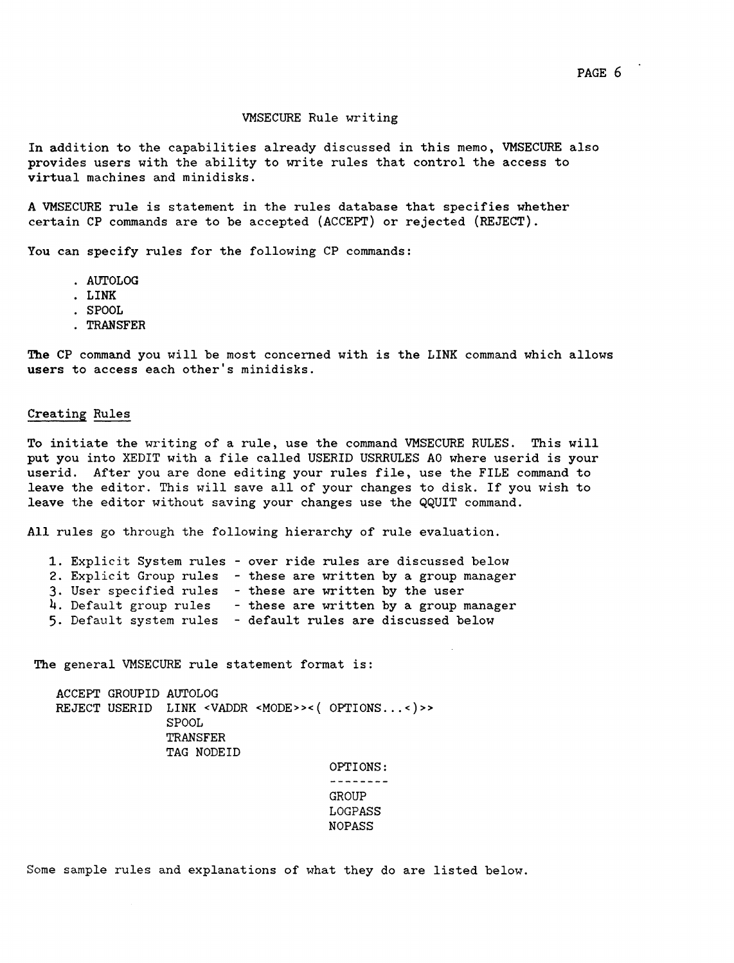#### VMSECURE Rule writing

In addition to the capabilities already discussed in this memo, VMSECURE also provides users with the ability to write rules that control the access to virtual machines and minidisks.

A VMSECURE rule is statement in the rules database that specifies whether certain CP commands are to be accepted (ACCEPT) or rejected (REJECT).

You can specify rules for the following CP commands:

- . AUTOLOG<br>. LINK
- 
- . SPOOL
- · TRANSFER

The CP command you will be most concerned with is the LINK command which allows users to access each other's minidisks.

### Creating Rules

To initiate the writing of a rule, use the command VMSECURE RULES. This will put you into XEDIT with a file called USERID USRRULES AO where userid is your userid. After you are done editing your rules file, use the FILE command to leave the editor. This will save all of your changes to disk. If you wish to leave the editor without saving your changes use the QQUIT command.

All rules go through the following hierarchy of rule evaluation.

| 1. Explicit System rules - over ride rules are discussed below |  |                                        |
|----------------------------------------------------------------|--|----------------------------------------|
| 2. Explicit Group rules - these are written by a group manager |  |                                        |
| 3. User specified rules                                        |  | - these are written by the user        |
| 4. Default group rules                                         |  | - these are written by a group manager |
| 5. Default system rules                                        |  | - default rules are discussed below    |

The general VMSECURE rule statement format is:

ACCEPT GROUPID AUTOLOG REJECT USERID LINK <VADDR <MODE>><( OPTIONS...<)>> SPOOL TRANSFER TAG NODEID OPTIONS:

--------GROUP LOGPASS NOPASS

Some sample rules and explanations of what they do are listed below.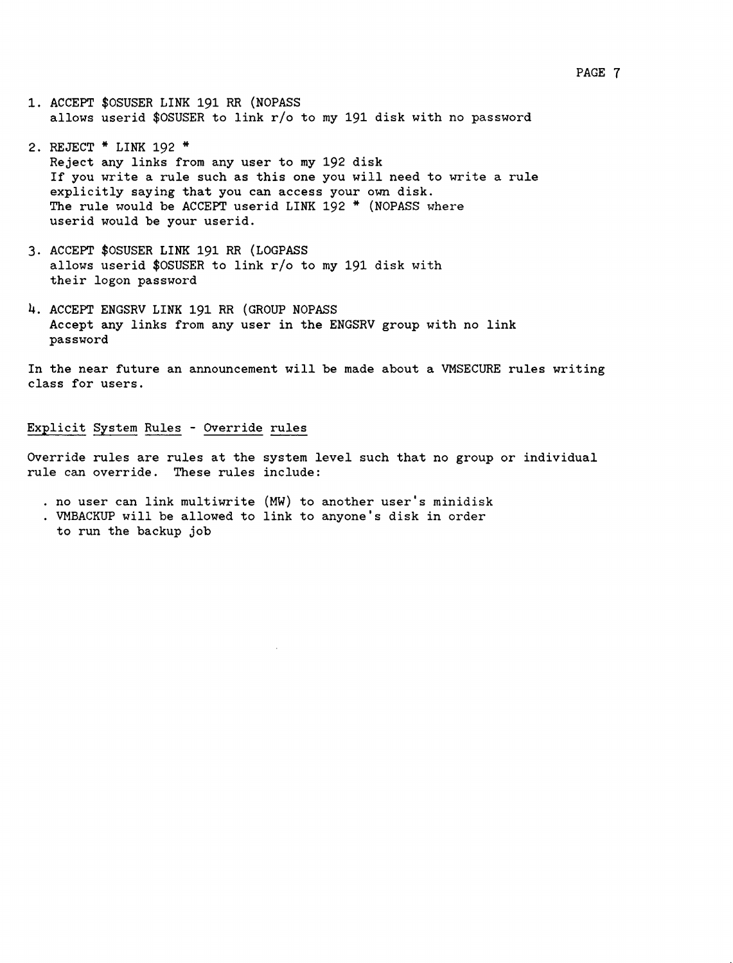- 1. ACCEPT \$OSUSER LINK 191 RR (NOPASS allows userid \$OSUSER to link *rio* to my 191 disk with no password
- 2. REJECT \* LINK 192 \*<br>Reject any links from any user to my 192 disk If you write a rule such as this one you will need to write a rule explicitly saying that you can access your own disk. The rule would be ACCEPT userid LINK 192 \* (NOPASS where userid would be your userid.
- 3. ACCEPT \$OSUSER LINK 191 RR (LOGPASS allows userid \$OSUSER to link *rio* to my 191 disk with their logon password
- 4. ACCEPT ENGSRV LINK 191 RR (GROUP NOPASS Accept any links from any user in the ENGSRV group with no link password

In the near future an announcement will be made about a VMSECURE rules writing class for users.

## Explicit System Rules - Override rules

Override rules are rules at the system level such that no group or individual rule can override. These rules include:

- . no user can link multiwrite (MW) to another user's minidisk
- . VMBACKUP will be allowed to link to anyone's disk in order to run the backup job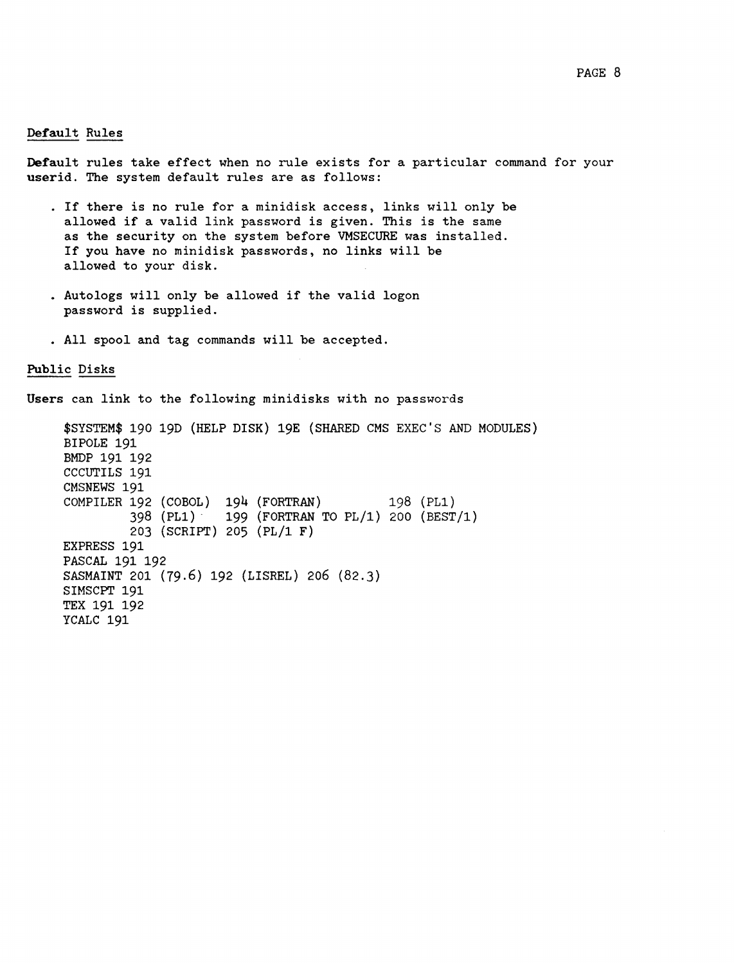# Default Rules

Default rules take effect when no rule exists for a particular command for your userid. The system default rules are as follows:

- · If there is no rule for <sup>a</sup> minidisk access, links will only be allowed if <sup>a</sup> valid link password is given. This is the same as the security on the system before VMSECURE was installed. If you have no minidisk passwords, no links will be allowed to your disk.
- Autologs will only be allowed if the valid logon password is supplied.
- All spool and tag commands will be accepted.

Public Disks

Users can link to the following minidisks with no passwords

\$SYSTEM\$ 190 19D (HELP DISK) 19E (SHARED eMS EXEC'S AND MODULES) BIPOLE 191 BMDP 191 192 CCCUTILS 191 CMSNEWS 191 COMPILER 192 (COBOL) 194 (FORTRAN) 198 (PL1) 398 (PL1)' 199 (FORTRAN TO PL/1) 200 (BEST/1) 203 (SCRIPT) 205 (PL/1 F) EXPRESS 191 PASCAL 191 192 SASMAINT 201 (79.6) 192 (LISREL) 206 (82.3) SIMSCPT 191 TEX 191 192 YCALC 191